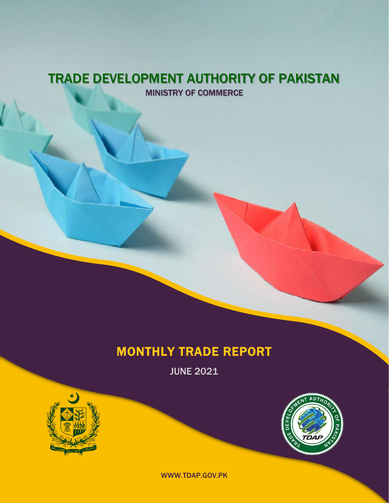### TRADE DEVELOPMENT AUTHORITY OF PAKISTAN MINISTRY OF COMMERCE

### MONTHLY TRADE REPORT

JUNE 2021





WWW.TDAP.GOV.PK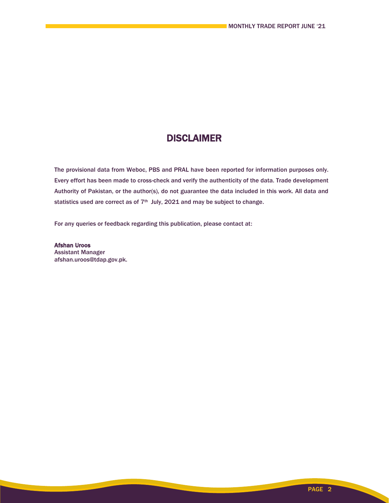### DISCLAIMER

The provisional data from Weboc, PBS and PRAL have been reported for information purposes only. Every effort has been made to cross-check and verify the authenticity of the data. Trade development Authority of Pakistan, or the author(s), do not guarantee the data included in this work. All data and statistics used are correct as of 7<sup>th</sup> July, 2021 and may be subject to change.

For any queries or feedback regarding this publication, please contact at:

Afshan Uroos Assistant Manager afshan.uroos@tdap.gov.pk.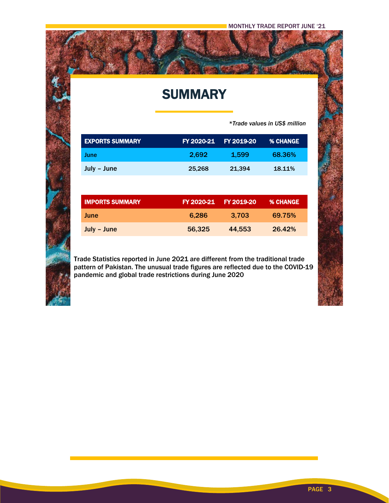## **SUMMARY**

 *\*Trade values in US\$ million*

| <b>EXPORTS SUMMARY</b> |        | FY 2020-21 FY 2019-20 | <b>% CHANGE</b> |
|------------------------|--------|-----------------------|-----------------|
| <b>June</b>            | 2,692  | 1,599                 | 68.36%          |
| July - June            | 25,268 | 21,394                | 18.11%          |
|                        |        |                       |                 |

| <b>IMPORTS SUMMARY</b> | FY 2020-21 | <b>FY 2019-20</b> | I % CHANGE` |
|------------------------|------------|-------------------|-------------|
| June                   | 6.286      | 3.703             | 69.75%      |
| July - June            | 56,325     | 44.553            | 26.42%      |

Trade Statistics reported in June 2021 are different from the traditional trade pattern of Pakistan. The unusual trade figures are reflected due to the COVID-19 pandemic and global trade restrictions during June 2020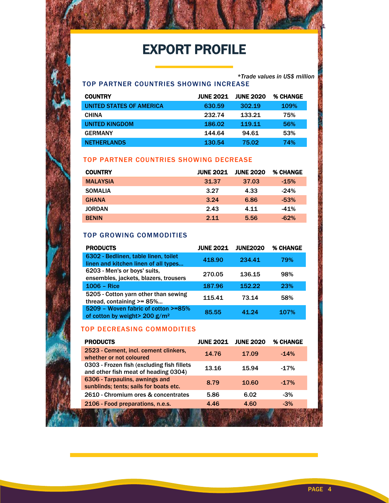# EXPORT PROFILE

MONTHLY TRADE REPORT TRADE REPORT OF THE SECOND TRADE REPORT OF THE SECOND SECOND SECOND SECOND SECOND SECOND SECOND SECOND SECOND SECOND SECOND SECOND SECOND SECOND SECOND SECOND SECOND SECOND SECOND SECOND SECOND SECOND

#### TOP PARTNER COUNTRIES SHOWING INCREASE

| <b>COUNTRY</b>           | <b>JUNE 2021</b> | <b>JUNE 2020</b> | <b>% CHANGE</b> |
|--------------------------|------------------|------------------|-----------------|
| UNITED STATES OF AMERICA | 630.59           | 302.19           | 109%            |
| <b>CHINA</b>             | 232.74           | 133.21           | 75%             |
| <b>UNITED KINGDOM</b>    | 186.02           | 119.11           | 56%             |
| <b>GERMANY</b>           | 144.64           | 94.61            | 53%             |
| <b>NETHERLANDS</b>       | 130.54           | 75.02            | 74%             |

#### TOP PARTNER COUNTRIES SHOWING DECREASE

| <b>COUNTRY</b>  | <b>JUNE 2021</b> | <b>JUNE 2020</b> | <b>% CHANGE</b> |
|-----------------|------------------|------------------|-----------------|
| <b>MALAYSIA</b> | 31.37            | 37.03            | $-15%$          |
| <b>SOMALIA</b>  | 3.27             | 4.33             | $-24%$          |
| <b>GHANA</b>    | 3.24             | 6.86             | $-53%$          |
| <b>JORDAN</b>   | 2.43             | 4.11             | $-41%$          |
| <b>BENIN</b>    | 2.11             | 5.56             | $-62%$          |

#### TOP GROWING COMMODITIES

| <b>PRODUCTS</b>                                                              | <b>JUNE 2021</b> | <b>JUNE2020</b> | <b>% CHANGE</b> |
|------------------------------------------------------------------------------|------------------|-----------------|-----------------|
| 6302 - Bedlinen, table linen, toilet<br>linen and kitchen linen of all types | 418.90           | 234.41          | 79%             |
| 6203 - Men's or boys' suits,<br>ensembles, jackets, blazers, trousers        | 270.05           | 136.15          | 98%             |
| $1006 - Rice$                                                                | 187.96           | 152.22          | 23%             |
| 5205 - Cotton yarn other than sewing<br>thread, containing >= 85%            | 115.41           | 73.14           | 58%             |
| 5209 - Woven fabric of cotton >=85%<br>of cotton by weight > 200 $g/m^2$     | 85.55            | 41.24           | 107%            |

#### TOP DECREASING COMMODITIES

ł

| <b>PRODUCTS</b>                                                                    | <b>JUNE 2021</b> | <b>JUNE 2020</b> | % CHANGE |
|------------------------------------------------------------------------------------|------------------|------------------|----------|
| 2523 - Cement, incl. cement clinkers,<br>whether or not coloured                   | 14.76            | 17.09            | $-14%$   |
| 0303 - Frozen fish (excluding fish fillets<br>and other fish meat of heading 0304) | 13.16            | 15.94            | $-17%$   |
| 6306 - Tarpaulins, awnings and<br>sunblinds; tents; sails for boats etc.           | 8.79             | 10.60            | $-17%$   |
| 2610 - Chromium ores & concentrates                                                | 5.86             | 6.02             | $-3%$    |
| 2106 - Food preparations, n.e.s.                                                   | 4.46             | 4.60             | $-3%$    |
|                                                                                    |                  |                  |          |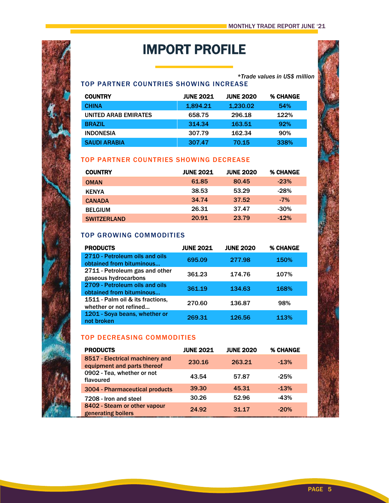## IMPORT PROFILE

#### *\*Trade values in US\$ million* TOP PARTNER COUNTRIES SHOWING INCREASE

| <b>COUNTRY</b>       | <b>JUNE 2021</b> | <b>JUNE 2020</b> | <b>% CHANGE</b> |
|----------------------|------------------|------------------|-----------------|
| <b>CHINA</b>         | 1.894.21         | 1.230.02         | 54%             |
| UNITED ARAB EMIRATES | 658.75           | 296.18           | 122%            |
| <b>BRAZIL</b>        | 314.34           | 163.51           | 92%             |
| <b>INDONESIA</b>     | 307.79           | 162.34           | 90%             |
| <b>SAUDI ARABIA</b>  | 307.47           | 70.15            | 338%            |

#### TOP PARTNER COUNTRIES SHOWING DECREASE

| <b>COUNTRY</b>     | <b>JUNE 2021</b> | <b>JUNE 2020</b> | <b>% CHANGE</b> |
|--------------------|------------------|------------------|-----------------|
| <b>OMAN</b>        | 61.85            | 80.45            | $-23%$          |
| <b>KENYA</b>       | 38.53            | 53.29            | $-28%$          |
| <b>CANADA</b>      | 34.74            | 37.52            | $-7\%$          |
| <b>BELGIUM</b>     | 26.31            | 37.47            | $-30%$          |
| <b>SWITZERLAND</b> | 20.91            | 23.79            | $-12%$          |

#### TOP GROWING COMMODITIES

| <b>PRODUCTS</b>                                            | <b>JUNE 2021</b> | <b>JUNE 2020</b> | <b>% CHANGE</b> |
|------------------------------------------------------------|------------------|------------------|-----------------|
| 2710 - Petroleum oils and oils<br>obtained from bituminous | 695.09           | 277.98           | <b>150%</b>     |
| 2711 - Petroleum gas and other<br>gaseous hydrocarbons     | 361.23           | 174.76           | 107%            |
| 2709 - Petroleum oils and oils<br>obtained from bituminous | 361.19           | 134.63           | <b>168%</b>     |
| 1511 - Palm oil & its fractions,<br>whether or not refined | 270.60           | 136.87           | 98%             |
| 1201 - Soya beans, whether or<br>not broken                | 269.31           | 126.56           | 113%            |

#### TOP DECREASING COMMODITIES

| <b>PRODUCTS</b>                                                | <b>JUNE 2021</b> | <b>JUNE 2020</b> | <b>% CHANGE</b> |
|----------------------------------------------------------------|------------------|------------------|-----------------|
| 8517 - Electrical machinery and<br>equipment and parts thereof | 230.16           | 263.21           | $-13%$          |
| 0902 - Tea, whether or not<br>flavoured                        | 43.54            | 57.87            | $-25%$          |
| 3004 - Pharmaceutical products                                 | 39.30            | 45.31            | $-13%$          |
| 7208 - Iron and steel                                          | 30.26            | 52.96            | $-43%$          |
| 8402 - Steam or other vapour<br>generating boilers             | 24.92            | 31.17            | $-20%$          |